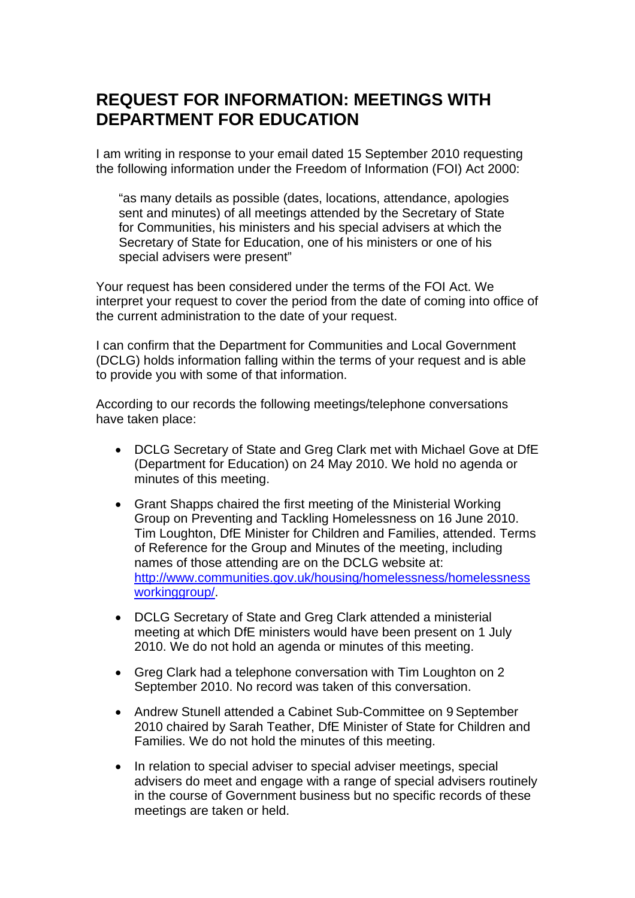## **REQUEST FOR INFORMATION: MEETINGS WITH DEPARTMENT FOR EDUCATION**

I am writing in response to your email dated 15 September 2010 requesting the following information under the Freedom of Information (FOI) Act 2000:

"as many details as possible (dates, locations, attendance, apologies sent and minutes) of all meetings attended by the Secretary of State for Communities, his ministers and his special advisers at which the Secretary of State for Education, one of his ministers or one of his special advisers were present"

Your request has been considered under the terms of the FOI Act. We interpret your request to cover the period from the date of coming into office of the current administration to the date of your request.

I can confirm that the Department for Communities and Local Government (DCLG) holds information falling within the terms of your request and is able to provide you with some of that information.

According to our records the following meetings/telephone conversations have taken place:

- DCLG Secretary of State and Greg Clark met with Michael Gove at DfE (Department for Education) on 24 May 2010. We hold no agenda or minutes of this meeting.
- Grant Shapps chaired the first meeting of the Ministerial Working Group on Preventing and Tackling Homelessness on 16 June 2010. Tim Loughton, DfE Minister for Children and Families, attended. Terms of Reference for the Group and Minutes of the meeting, including names of those attending are on the DCLG website at: [http://www.communities.gov.uk/housing/homelessness/homelessness](http://www.communities.gov.uk/housing/homelessness/homelessnessworkinggroup/) [workinggroup/](http://www.communities.gov.uk/housing/homelessness/homelessnessworkinggroup/).
- DCLG Secretary of State and Greg Clark attended a ministerial meeting at which DfE ministers would have been present on 1 July 2010. We do not hold an agenda or minutes of this meeting.
- Greg Clark had a telephone conversation with Tim Loughton on 2 September 2010. No record was taken of this conversation.
- Andrew Stunell attended a Cabinet Sub-Committee on 9 September 2010 chaired by Sarah Teather, DfE Minister of State for Children and Families. We do not hold the minutes of this meeting.
- In relation to special adviser to special adviser meetings, special advisers do meet and engage with a range of special advisers routinely in the course of Government business but no specific records of these meetings are taken or held.